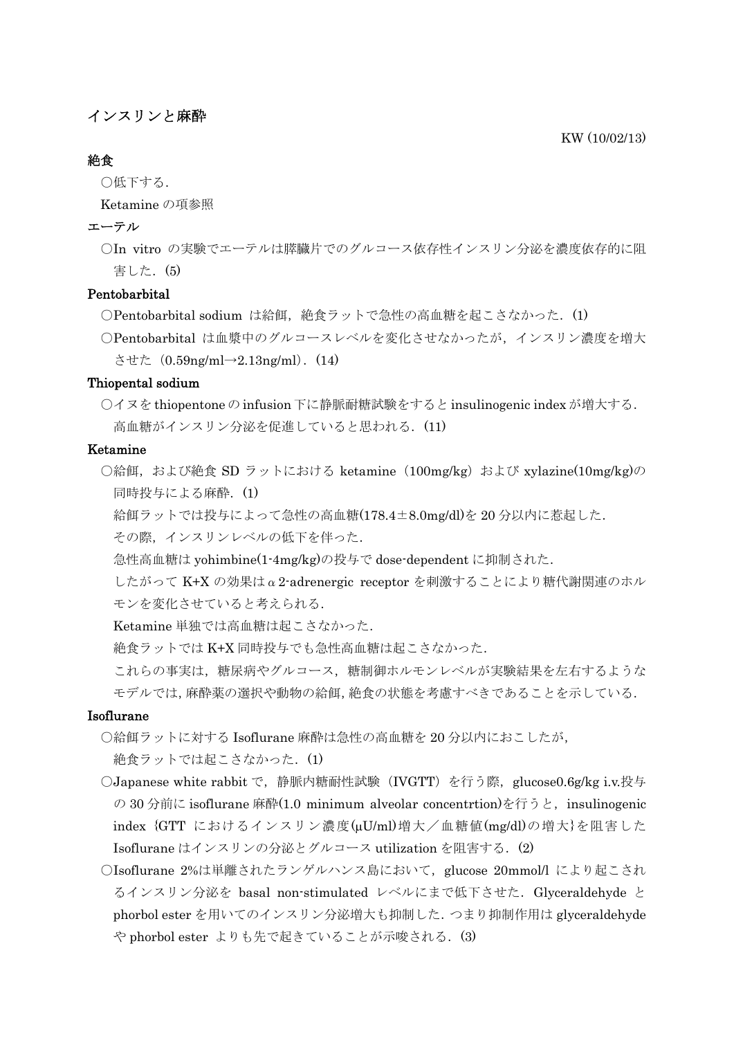# 絶食

○低下する.

Ketamine の項参照

## エーテル

 ○In vitro の実験でエーテルは膵臓片でのグルコース依存性インスリン分泌を濃度依存的に阻 害した. (5)

# Pentobarbital

- ○Pentobarbital sodium は給餌, 絶食ラットで急性の高血糖を起こさなかった. (1)
- ○Pentobarbital は血漿中のグルコースレベルを変化させなかったが,インスリン濃度を増大 させた(0.59ng/ml→2.13ng/ml).(14)

#### Thiopental sodium

○イヌを thiopentone の infusion 下に静脈耐糖試験をすると insulinogenic index が増大する. 高血糖がインスリン分泌を促進していると思われる. (11)

#### Ketamine

- ○給餌, および絶食 SD ラットにおける ketamine (100mg/kg) および xylazine(10mg/kg)の 同時投与による麻酔. (1)
	- 給餌ラットでは投与によって急性の高血糖(178.4±8.0mg/dl)を 20 分以内に惹起した.
	- その際,インスリンレベルの低下を伴った.
	- 急性高血糖は yohimbine(1-4mg/kg)の投与で dose-dependent に抑制された.
	- したがって K+X の効果はα2-adrenergic receptor を刺激することにより糖代謝関連のホル モンを変化させていると考えられる.
	- Ketamine 単独では高血糖は起こさなかった.
	- 絶食ラットでは K+X 同時投与でも急性高血糖は起こさなかった.
	- これらの事実は,糖尿病やグルコース,糖制御ホルモンレベルが実験結果を左右するような モデルでは,麻酔薬の選択や動物の給餌,絶食の状態を考慮すべきであることを示している.

### Isoflurane

- ○給餌ラットに対する Isoflurane 麻酔は急性の高血糖を 20 分以内におこしたが, 絶食ラットでは起こさなかった. (1)
- ○Japanese white rabbit で,静脈内糖耐性試験 (IVGTT) を行う際, glucose0.6g/kg i.v.投与 の 30 分前に isoflurane 麻酔(1.0 minimum alveolar concentrtion)を行うと, insulinogenic index {GTT におけるインスリン濃度(μU/ml)増大/血糖値(mg/dl)の増大}を阻害した Isoflurane はインスリンの分泌とグルコース utilization を阻害する.(2)
- ○Isoflurane 2%は単離されたランゲルハンス島において、glucose 20mmol/l により起こされ るインスリン分泌を basal non-stimulated レベルにまで低下させた.Glyceraldehyde と phorbol ester を用いてのインスリン分泌増大も抑制した.つまり抑制作用は glyceraldehyde や phorbol ester よりも先で起きていることが示唆される. (3)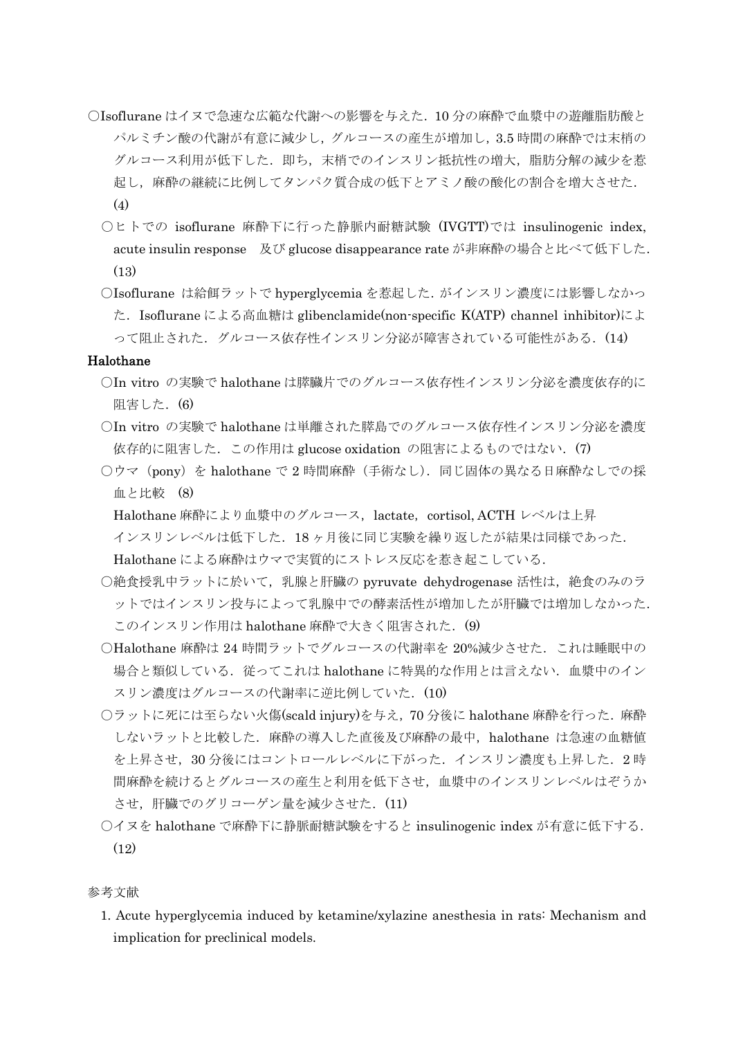- ○Isoflurane はイヌで急速な広範な代謝への影響を与えた.10 分の麻酔で血漿中の遊離脂肪酸と パルミチン酸の代謝が有意に減少し,グルコースの産生が増加し,3.5 時間の麻酔では末梢の グルコース利用が低下した.即ち,末梢でのインスリン抵抗性の増大,脂肪分解の減少を惹 起し,麻酔の継続に比例してタンパク質合成の低下とアミノ酸の酸化の割合を増大させた. (4)
	- ○ヒトでの isoflurane 麻酔下に行った静脈内耐糖試験 (IVGTT)では insulinogenic index, acute insulin response 及び glucose disappearance rate が非麻酔の場合と比べて低下した. (13)
	- ○Isoflurane は給餌ラットで hyperglycemia を惹起した.がインスリン濃度には影響しなかっ た.Isoflurane による高血糖は glibenclamide(non-specific K(ATP) channel inhibitor)によ って阻止された.グルコース依存性インスリン分泌が障害されている可能性がある.(14)

### Halothane

- ○In vitro の実験で halothane は膵臓片でのグルコース依存性インスリン分泌を濃度依存的に 阻害した. (6)
- ○In vitro の実験で halothane は単離された膵島でのグルコース依存性インスリン分泌を濃度 依存的に阻害した. この作用は glucose oxidation の阻害によるものではない. (7)
- ○ウマ (pony) を halothane で 2 時間麻酔 (手術なし). 同じ固体の異なる日麻酔なしでの採 血と比較 (8)
	- Halothane 麻酔により血漿中のグルコース, lactate, cortisol, ACTH レベルは上昇
- インスリンレベルは低下した.18 ヶ月後に同じ実験を繰り返したが結果は同様であった. Halothane による麻酔はウマで実質的にストレス反応を惹き起こしている.
- ○絶食授乳中ラットに於いて,乳腺と肝臓の pyruvate dehydrogenase 活性は,絶食のみのラ ットではインスリン投与によって乳腺中での酵素活性が増加したが肝臓では増加しなかった. このインスリン作用は halothane 麻酔で大きく阻害された. (9)
- ○Halothane 麻酔は 24 時間ラットでグルコースの代謝率を 20%減少させた.これは睡眠中の 場合と類似している.従ってこれは halothane に特異的な作用とは言えない.血漿中のイン スリン濃度はグルコースの代謝率に逆比例していた. (10)
- ○ラットに死には至らない火傷(scald injury)を与え,70 分後に halothane 麻酔を行った.麻酔 しないラットと比較した. 麻酔の導入した直後及び麻酔の最中,halothane は急速の血糖値 を上昇させ,30分後にはコントロールレベルに下がった.インスリン濃度も上昇した.2時 間麻酔を続けるとグルコースの産生と利用を低下させ,血漿中のインスリンレベルはぞうか させ、肝臓でのグリコーゲン量を減少させた. (11)
- ○イヌを halothane で麻酔下に静脈耐糖試験をすると insulinogenic index が有意に低下する. (12)

#### 参考文献

1. Acute hyperglycemia induced by ketamine/xylazine anesthesia in rats: Mechanism and implication for preclinical models.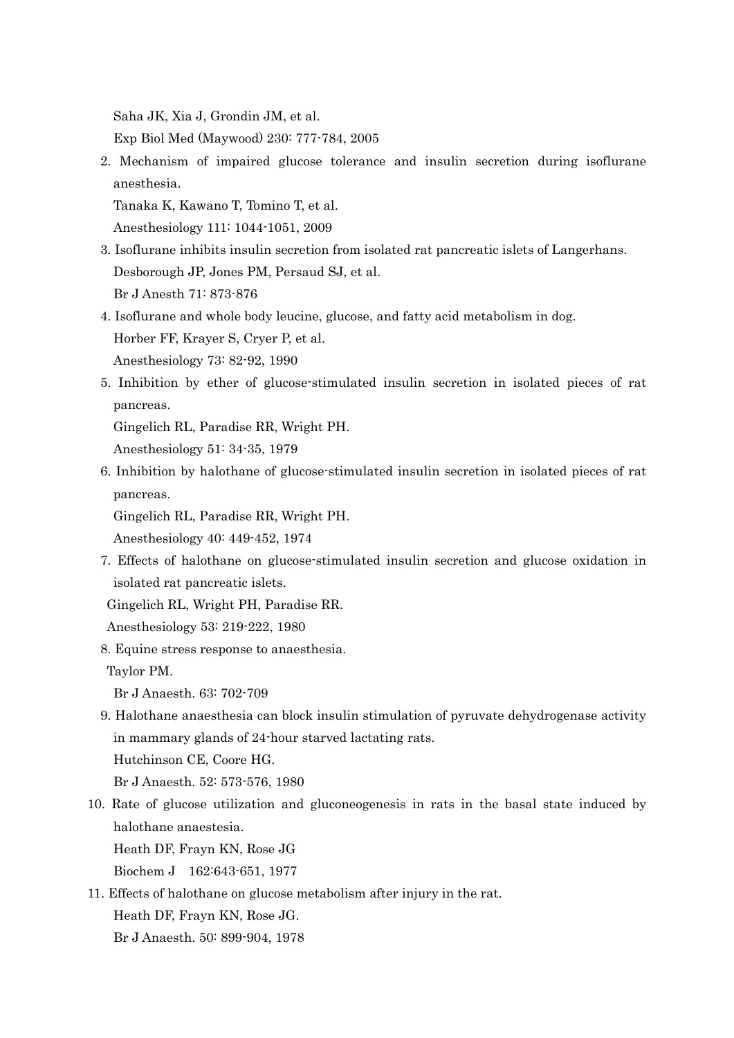Saha JK, Xia J, Grondin JM, et al.

Exp Biol Med (Maywood) 230: 777-784, 2005

2. Mechanism of impaired glucose tolerance and insulin secretion during isoflurane anesthesia.

Tanaka K, Kawano T, Tomino T, et al.

Anesthesiology 111: 1044-1051, 2009

- 3. Isoflurane inhibits insulin secretion from isolated rat pancreatic islets of Langerhans. Desborough JP, Jones PM, Persaud SJ, et al. Br J Anesth 71: 873-876
- 4. Isoflurane and whole body leucine, glucose, and fatty acid metabolism in dog. Horber FF, Krayer S, Cryer P, et al. Anesthesiology 73: 82-92, 1990
- 5. Inhibition by ether of glucose-stimulated insulin secretion in isolated pieces of rat pancreas.

Gingelich RL, Paradise RR, Wright PH.

Anesthesiology 51: 34-35, 1979

6. Inhibition by halothane of glucose-stimulated insulin secretion in isolated pieces of rat pancreas.

Gingelich RL, Paradise RR, Wright PH.

Anesthesiology 40: 449-452, 1974

7. Effects of halothane on glucose-stimulated insulin secretion and glucose oxidation in isolated rat pancreatic islets.

Gingelich RL, Wright PH, Paradise RR.

Anesthesiology 53: 219-222, 1980

8. Equine stress response to anaesthesia.

Taylor PM.

Br J Anaesth. 63: 702-709

9. Halothane anaesthesia can block insulin stimulation of pyruvate dehydrogenase activity in mammary glands of 24-hour starved lactating rats.

Hutchinson CE, Coore HG.

Br J Anaesth. 52: 573-576, 1980

10. Rate of glucose utilization and gluconeogenesis in rats in the basal state induced by halothane anaestesia.

Heath DF, Frayn KN, Rose JG

Biochem J 162:643-651, 1977

11. Effects of halothane on glucose metabolism after injury in the rat.

Heath DF, Frayn KN, Rose JG.

Br J Anaesth. 50: 899-904, 1978